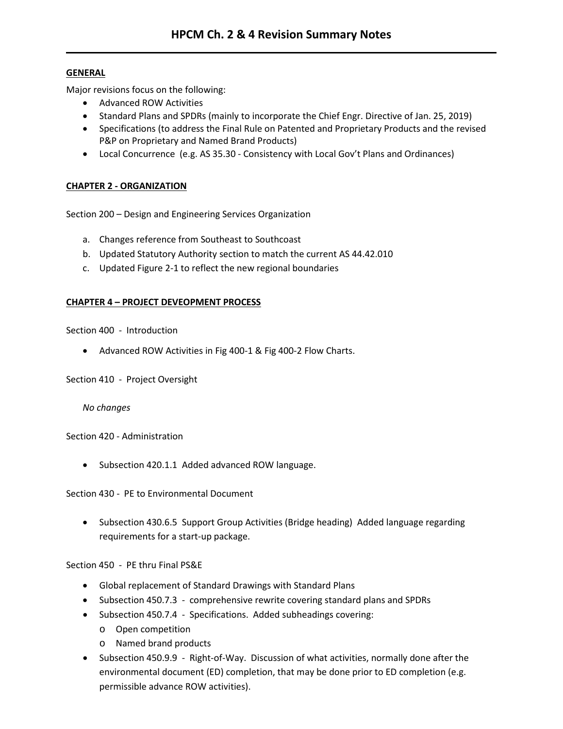## **GENERAL**

Major revisions focus on the following:

- Advanced ROW Activities
- Standard Plans and SPDRs (mainly to incorporate the Chief Engr. Directive of Jan. 25, 2019)
- Specifications (to address the Final Rule on Patented and Proprietary Products and the revised P&P on Proprietary and Named Brand Products)
- Local Concurrence (e.g. AS 35.30 Consistency with Local Gov't Plans and Ordinances)

## **CHAPTER 2 - ORGANIZATION**

Section 200 – Design and Engineering Services Organization

- a. Changes reference from Southeast to Southcoast
- b. Updated Statutory Authority section to match the current AS 44.42.010
- c. Updated Figure 2-1 to reflect the new regional boundaries

## **CHAPTER 4 – PROJECT DEVEOPMENT PROCESS**

Section 400 - Introduction

• Advanced ROW Activities in Fig 400-1 & Fig 400-2 Flow Charts.

Section 410 - Project Oversight

*No changes*

Section 420 - Administration

• Subsection 420.1.1 Added advanced ROW language.

Section 430 - PE to Environmental Document

• Subsection 430.6.5 Support Group Activities (Bridge heading) Added language regarding requirements for a start-up package.

Section 450 - PE thru Final PS&E

- Global replacement of Standard Drawings with Standard Plans
- Subsection 450.7.3 comprehensive rewrite covering standard plans and SPDRs
- Subsection 450.7.4 Specifications. Added subheadings covering:
	- o Open competition
	- o Named brand products
- Subsection 450.9.9 Right-of-Way. Discussion of what activities, normally done after the environmental document (ED) completion, that may be done prior to ED completion (e.g. permissible advance ROW activities).